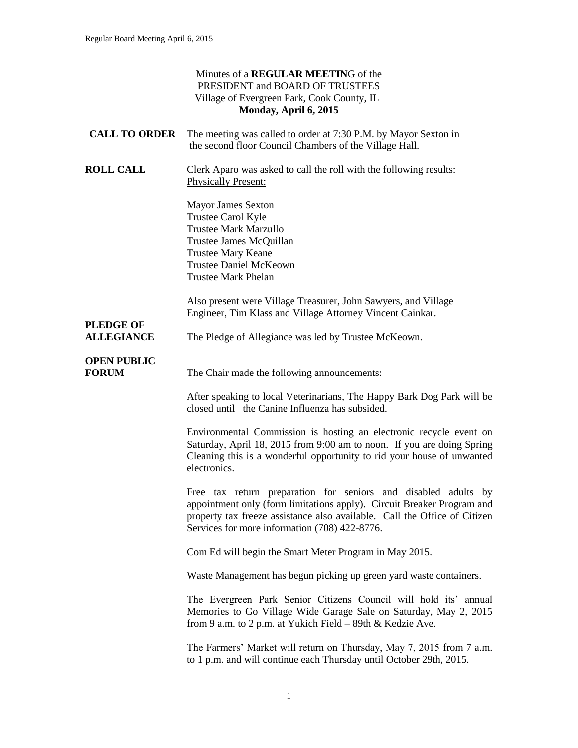|                                       | Minutes of a <b>REGULAR MEETING</b> of the<br>PRESIDENT and BOARD OF TRUSTEES<br>Village of Evergreen Park, Cook County, IL<br>Monday, April 6, 2015                                                                                                                   |
|---------------------------------------|------------------------------------------------------------------------------------------------------------------------------------------------------------------------------------------------------------------------------------------------------------------------|
| <b>CALL TO ORDER</b>                  | The meeting was called to order at 7:30 P.M. by Mayor Sexton in<br>the second floor Council Chambers of the Village Hall.                                                                                                                                              |
| <b>ROLL CALL</b>                      | Clerk Aparo was asked to call the roll with the following results:<br><b>Physically Present:</b>                                                                                                                                                                       |
|                                       | <b>Mayor James Sexton</b><br>Trustee Carol Kyle<br><b>Trustee Mark Marzullo</b><br>Trustee James McQuillan<br>Trustee Mary Keane<br><b>Trustee Daniel McKeown</b><br><b>Trustee Mark Phelan</b>                                                                        |
|                                       | Also present were Village Treasurer, John Sawyers, and Village<br>Engineer, Tim Klass and Village Attorney Vincent Cainkar.                                                                                                                                            |
| <b>PLEDGE OF</b><br><b>ALLEGIANCE</b> | The Pledge of Allegiance was led by Trustee McKeown.                                                                                                                                                                                                                   |
| <b>OPEN PUBLIC</b><br><b>FORUM</b>    | The Chair made the following announcements:                                                                                                                                                                                                                            |
|                                       | After speaking to local Veterinarians, The Happy Bark Dog Park will be<br>closed until the Canine Influenza has subsided.                                                                                                                                              |
|                                       | Environmental Commission is hosting an electronic recycle event on<br>Saturday, April 18, 2015 from 9:00 am to noon. If you are doing Spring<br>Cleaning this is a wonderful opportunity to rid your house of unwanted<br>electronics.                                 |
|                                       | Free tax return preparation for seniors and disabled adults by<br>appointment only (form limitations apply). Circuit Breaker Program and<br>property tax freeze assistance also available. Call the Office of Citizen<br>Services for more information (708) 422-8776. |
|                                       | Com Ed will begin the Smart Meter Program in May 2015.                                                                                                                                                                                                                 |
|                                       | Waste Management has begun picking up green yard waste containers.                                                                                                                                                                                                     |
|                                       | The Evergreen Park Senior Citizens Council will hold its' annual<br>Memories to Go Village Wide Garage Sale on Saturday, May 2, 2015<br>from 9 a.m. to 2 p.m. at Yukich Field – 89th & Kedzie Ave.                                                                     |
|                                       | The Farmers' Market will return on Thursday, May 7, 2015 from 7 a.m.<br>to 1 p.m. and will continue each Thursday until October 29th, 2015.                                                                                                                            |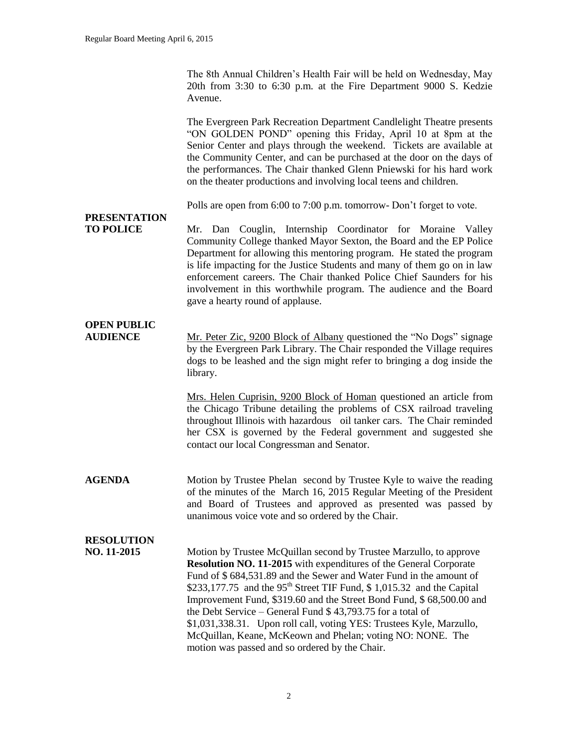The 8th Annual Children's Health Fair will be held on Wednesday, May 20th from 3:30 to 6:30 p.m. at the Fire Department 9000 S. Kedzie Avenue.

The Evergreen Park Recreation Department Candlelight Theatre presents "ON GOLDEN POND" opening this Friday, April 10 at 8pm at the Senior Center and plays through the weekend. Tickets are available at the Community Center, and can be purchased at the door on the days of the performances. The Chair thanked Glenn Pniewski for his hard work on the theater productions and involving local teens and children.

Polls are open from 6:00 to 7:00 p.m. tomorrow- Don't forget to vote.

# **PRESENTATION**

**TO POLICE** Mr. Dan Couglin, Internship Coordinator for Moraine Valley Community College thanked Mayor Sexton, the Board and the EP Police Department for allowing this mentoring program. He stated the program is life impacting for the Justice Students and many of them go on in law enforcement careers. The Chair thanked Police Chief Saunders for his involvement in this worthwhile program. The audience and the Board gave a hearty round of applause.

## **OPEN PUBLIC**

**AUDIENCE** Mr. Peter Zic, 9200 Block of Albany questioned the "No Dogs" signage by the Evergreen Park Library. The Chair responded the Village requires dogs to be leashed and the sign might refer to bringing a dog inside the library.

> Mrs. Helen Cuprisin, 9200 Block of Homan questioned an article from the Chicago Tribune detailing the problems of CSX railroad traveling throughout Illinois with hazardous oil tanker cars. The Chair reminded her CSX is governed by the Federal government and suggested she contact our local Congressman and Senator.

**AGENDA** Motion by Trustee Phelan second by Trustee Kyle to waive the reading of the minutes of the March 16, 2015 Regular Meeting of the President and Board of Trustees and approved as presented was passed by unanimous voice vote and so ordered by the Chair.

## **RESOLUTION**

**NO. 11-2015** Motion by Trustee McQuillan second by Trustee Marzullo, to approve **Resolution NO. 11-2015** with expenditures of the General Corporate Fund of \$ 684,531.89 and the Sewer and Water Fund in the amount of \$233,177.75 and the  $95<sup>th</sup>$  Street TIF Fund, \$1,015.32 and the Capital Improvement Fund, \$319.60 and the Street Bond Fund, \$ 68,500.00 and the Debt Service – General Fund \$ 43,793.75 for a total of \$1,031,338.31. Upon roll call, voting YES: Trustees Kyle, Marzullo, McQuillan, Keane, McKeown and Phelan; voting NO: NONE. The motion was passed and so ordered by the Chair.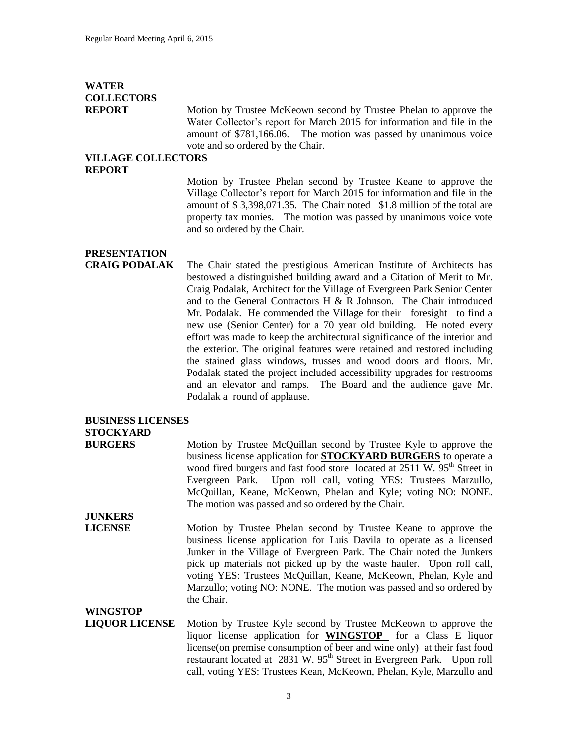## **WATER COLLECTORS**

**REPORT** Motion by Trustee McKeown second by Trustee Phelan to approve the Water Collector's report for March 2015 for information and file in the amount of \$781,166.06. The motion was passed by unanimous voice vote and so ordered by the Chair.

#### **VILLAGE COLLECTORS REPORT**

Motion by Trustee Phelan second by Trustee Keane to approve the Village Collector's report for March 2015 for information and file in the amount of \$ 3,398,071.35. The Chair noted \$1.8 million of the total are property tax monies. The motion was passed by unanimous voice vote and so ordered by the Chair.

## **PRESENTATION**

**CRAIG PODALAK** The Chair stated the prestigious American Institute of Architects has bestowed a distinguished building award and a Citation of Merit to Mr. Craig Podalak, Architect for the Village of Evergreen Park Senior Center and to the General Contractors H & R Johnson. The Chair introduced Mr. Podalak. He commended the Village for their foresight to find a new use (Senior Center) for a 70 year old building. He noted every effort was made to keep the architectural significance of the interior and the exterior. The original features were retained and restored including the stained glass windows, trusses and wood doors and floors. Mr. Podalak stated the project included accessibility upgrades for restrooms and an elevator and ramps. The Board and the audience gave Mr. Podalak a round of applause.

### **BUSINESS LICENSES STOCKYARD**

**BURGERS** Motion by Trustee McQuillan second by Trustee Kyle to approve the business license application for **STOCKYARD BURGERS** to operate a wood fired burgers and fast food store located at 2511 W. 95<sup>th</sup> Street in Evergreen Park. Upon roll call, voting YES: Trustees Marzullo, McQuillan, Keane, McKeown, Phelan and Kyle; voting NO: NONE. The motion was passed and so ordered by the Chair.

**JUNKERS** 

**LICENSE** Motion by Trustee Phelan second by Trustee Keane to approve the business license application for Luis Davila to operate as a licensed Junker in the Village of Evergreen Park. The Chair noted the Junkers pick up materials not picked up by the waste hauler. Upon roll call, voting YES: Trustees McQuillan, Keane, McKeown, Phelan, Kyle and Marzullo; voting NO: NONE. The motion was passed and so ordered by the Chair.

### **WINGSTOP LIQUOR LICENSE** Motion by Trustee Kyle second by Trustee McKeown to approve the liquor license application for **WINGSTOP** for a Class E liquor license(on premise consumption of beer and wine only) at their fast food restaurant located at  $2831$  W.  $95<sup>th</sup>$  Street in Evergreen Park. Upon roll call, voting YES: Trustees Kean, McKeown, Phelan, Kyle, Marzullo and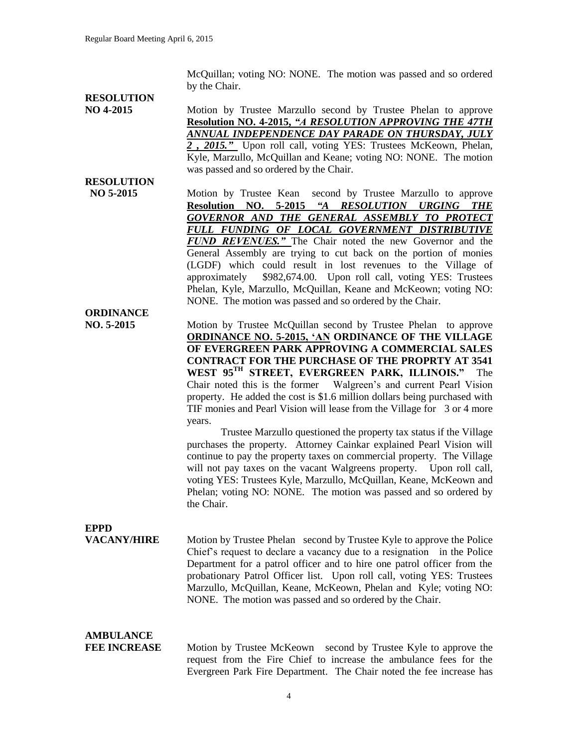McQuillan; voting NO: NONE. The motion was passed and so ordered by the Chair.

# **RESOLUTION**

**RESOLUTION**

**ORDINANCE**

**NO 4-2015** Motion by Trustee Marzullo second by Trustee Phelan to approve **Resolution NO. 4-2015,** *"A RESOLUTION APPROVING THE 47TH ANNUAL INDEPENDENCE DAY PARADE ON THURSDAY, JULY 2 , 2015."* Upon roll call, voting YES: Trustees McKeown, Phelan, Kyle, Marzullo, McQuillan and Keane; voting NO: NONE. The motion was passed and so ordered by the Chair.

 **NO 5-2015** Motion by Trustee Kean second by Trustee Marzullo to approve **Resolution NO. 5-2015** *"A RESOLUTION URGING THE GOVERNOR AND THE GENERAL ASSEMBLY TO PROTECT FULL FUNDING OF LOCAL GOVERNMENT DISTRIBUTIVE FUND REVENUES."* The Chair noted the new Governor and the General Assembly are trying to cut back on the portion of monies (LGDF) which could result in lost revenues to the Village of approximately \$982,674.00. Upon roll call, voting YES: Trustees Phelan, Kyle, Marzullo, McQuillan, Keane and McKeown; voting NO: NONE. The motion was passed and so ordered by the Chair.

**NO. 5-2015** Motion by Trustee McQuillan second by Trustee Phelan to approve **ORDINANCE NO. 5-2015, 'AN ORDINANCE OF THE VILLAGE OF EVERGREEN PARK APPROVING A COMMERCIAL SALES CONTRACT FOR THE PURCHASE OF THE PROPRTY AT 3541 WEST 95TH STREET, EVERGREEN PARK, ILLINOIS."** The Chair noted this is the former Walgreen's and current Pearl Vision property. He added the cost is \$1.6 million dollars being purchased with TIF monies and Pearl Vision will lease from the Village for 3 or 4 more years.

Trustee Marzullo questioned the property tax status if the Village purchases the property. Attorney Cainkar explained Pearl Vision will continue to pay the property taxes on commercial property. The Village will not pay taxes on the vacant Walgreens property. Upon roll call, voting YES: Trustees Kyle, Marzullo, McQuillan, Keane, McKeown and Phelan; voting NO: NONE. The motion was passed and so ordered by the Chair.

# **EPPD**

**VACANY/HIRE** Motion by Trustee Phelan second by Trustee Kyle to approve the Police Chief's request to declare a vacancy due to a resignation in the Police Department for a patrol officer and to hire one patrol officer from the probationary Patrol Officer list. Upon roll call, voting YES: Trustees Marzullo, McQuillan, Keane, McKeown, Phelan and Kyle; voting NO: NONE. The motion was passed and so ordered by the Chair.

# **AMBULANCE**

**FEE INCREASE** Motion by Trustee McKeown second by Trustee Kyle to approve the request from the Fire Chief to increase the ambulance fees for the Evergreen Park Fire Department. The Chair noted the fee increase has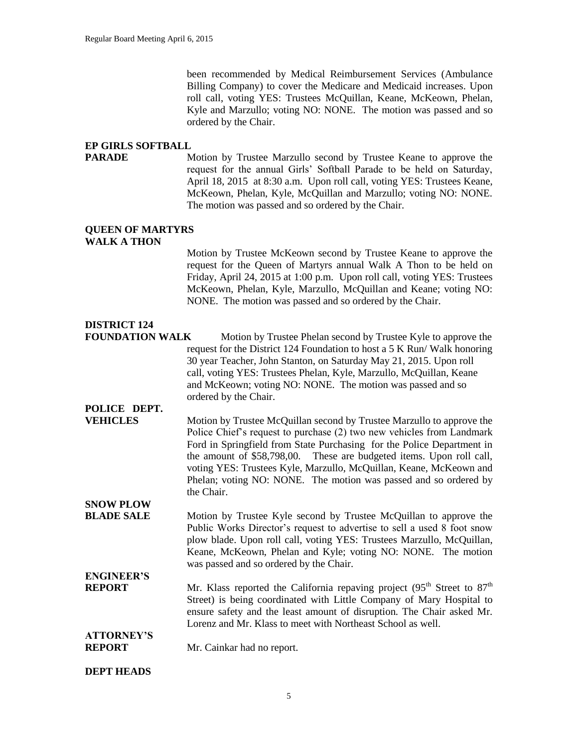been recommended by Medical Reimbursement Services (Ambulance Billing Company) to cover the Medicare and Medicaid increases. Upon roll call, voting YES: Trustees McQuillan, Keane, McKeown, Phelan, Kyle and Marzullo; voting NO: NONE. The motion was passed and so ordered by the Chair.

#### **EP GIRLS SOFTBALL**

**PARADE** Motion by Trustee Marzullo second by Trustee Keane to approve the request for the annual Girls' Softball Parade to be held on Saturday, April 18, 2015 at 8:30 a.m. Upon roll call, voting YES: Trustees Keane, McKeown, Phelan, Kyle, McQuillan and Marzullo; voting NO: NONE. The motion was passed and so ordered by the Chair.

#### **QUEEN OF MARTYRS WALK A THON**

Motion by Trustee McKeown second by Trustee Keane to approve the request for the Queen of Martyrs annual Walk A Thon to be held on Friday, April 24, 2015 at 1:00 p.m. Upon roll call, voting YES: Trustees McKeown, Phelan, Kyle, Marzullo, McQuillan and Keane; voting NO: NONE. The motion was passed and so ordered by the Chair.

## **DISTRICT 124**

**FOUNDATION WALK** Motion by Trustee Phelan second by Trustee Kyle to approve the request for the District 124 Foundation to host a 5 K Run/ Walk honoring 30 year Teacher, John Stanton, on Saturday May 21, 2015. Upon roll call, voting YES: Trustees Phelan, Kyle, Marzullo, McQuillan, Keane and McKeown; voting NO: NONE. The motion was passed and so ordered by the Chair.

## **POLICE DEPT.**

**VEHICLES** Motion by Trustee McQuillan second by Trustee Marzullo to approve the Police Chief's request to purchase (2) two new vehicles from Landmark Ford in Springfield from State Purchasing for the Police Department in the amount of \$58,798,00. These are budgeted items. Upon roll call, voting YES: Trustees Kyle, Marzullo, McQuillan, Keane, McKeown and Phelan; voting NO: NONE. The motion was passed and so ordered by the Chair. **SNOW PLOW** 

- **BLADE SALE** Motion by Trustee Kyle second by Trustee McQuillan to approve the Public Works Director's request to advertise to sell a used 8 foot snow plow blade. Upon roll call, voting YES: Trustees Marzullo, McQuillan, Keane, McKeown, Phelan and Kyle; voting NO: NONE. The motion was passed and so ordered by the Chair.
- **ENGINEER'S REPORT** Mr. Klass reported the California repaving project  $(95<sup>th</sup>$  Street to  $87<sup>th</sup>$ Street) is being coordinated with Little Company of Mary Hospital to ensure safety and the least amount of disruption. The Chair asked Mr. Lorenz and Mr. Klass to meet with Northeast School as well.

### **ATTORNEY'S REPORT** Mr. Cainkar had no report.

#### **DEPT HEADS**